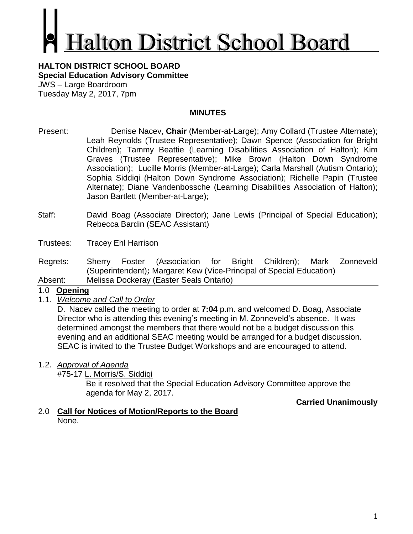# **alton District School Board**

#### **HALTON DISTRICT SCHOOL BOARD Special Education Advisory Committee** JWS – Large Boardroom Tuesday May 2, 2017, 7pm

# **MINUTES**

- Present: Denise Nacev, **Chair** (Member-at-Large); Amy Collard (Trustee Alternate); Leah Reynolds (Trustee Representative); Dawn Spence (Association for Bright Children); Tammy Beattie (Learning Disabilities Association of Halton); Kim Graves (Trustee Representative); Mike Brown (Halton Down Syndrome Association); Lucille Morris (Member-at-Large); Carla Marshall (Autism Ontario); Sophia Siddiqi (Halton Down Syndrome Association); Richelle Papin (Trustee Alternate); Diane Vandenbossche (Learning Disabilities Association of Halton); Jason Bartlett (Member-at-Large);
- Staff: David Boag (Associate Director); Jane Lewis (Principal of Special Education); Rebecca Bardin (SEAC Assistant)
- Trustees: Tracey Ehl Harrison
- Regrets: Sherry Foster (Association for Bright Children); Mark Zonneveld (Superintendent); Margaret Kew (Vice-Principal of Special Education) Absent: Melissa Dockeray (Easter Seals Ontario)

## 1.0 **Opening**

1.1. *Welcome and Call to Order*

D. Nacev called the meeting to order at **7:04** p.m. and welcomed D. Boag, Associate Director who is attending this evening's meeting in M. Zonneveld's absence. It was determined amongst the members that there would not be a budget discussion this evening and an additional SEAC meeting would be arranged for a budget discussion. SEAC is invited to the Trustee Budget Workshops and are encouraged to attend.

1.2. *Approval of Agenda*

#75-17 L. Morris/S. Siddiqi

Be it resolved that the Special Education Advisory Committee approve the agenda for May 2, 2017.

# **Carried Unanimously**

2.0 **Call for Notices of Motion/Reports to the Board** None.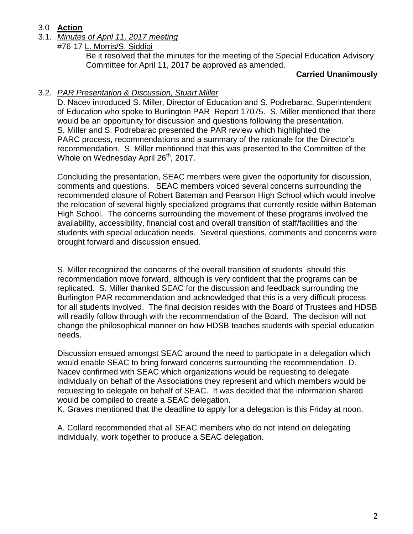# 3.0 **Action**

- 3.1. *Minutes of April 11, 2017 meeting*
	- #76-17 L. Morris/S. Siddiqi

Be it resolved that the minutes for the meeting of the Special Education Advisory Committee for April 11, 2017 be approved as amended.

### **Carried Unanimously**

## 3.2. *PAR Presentation & Discussion, Stuart Miller*

D. Nacev introduced S. Miller, Director of Education and S. Podrebarac, Superintendent of Education who spoke to Burlington PAR Report 17075. S. Miller mentioned that there would be an opportunity for discussion and questions following the presentation. S. Miller and S. Podrebarac presented the PAR review which highlighted the PARC process, recommendations and a summary of the rationale for the Director's recommendation. S. Miller mentioned that this was presented to the Committee of the Whole on Wednesday April 26<sup>th</sup>, 2017.

Concluding the presentation, SEAC members were given the opportunity for discussion, comments and questions. SEAC members voiced several concerns surrounding the recommended closure of Robert Bateman and Pearson High School which would involve the relocation of several highly specialized programs that currently reside within Bateman High School. The concerns surrounding the movement of these programs involved the availability, accessibility, financial cost and overall transition of staff/facilities and the students with special education needs. Several questions, comments and concerns were brought forward and discussion ensued.

S. Miller recognized the concerns of the overall transition of students should this recommendation move forward, although is very confident that the programs can be replicated. S. Miller thanked SEAC for the discussion and feedback surrounding the Burlington PAR recommendation and acknowledged that this is a very difficult process for all students involved. The final decision resides with the Board of Trustees and HDSB will readily follow through with the recommendation of the Board. The decision will not change the philosophical manner on how HDSB teaches students with special education needs.

Discussion ensued amongst SEAC around the need to participate in a delegation which would enable SEAC to bring forward concerns surrounding the recommendation. D. Nacev confirmed with SEAC which organizations would be requesting to delegate individually on behalf of the Associations they represent and which members would be requesting to delegate on behalf of SEAC. It was decided that the information shared would be compiled to create a SEAC delegation.

K. Graves mentioned that the deadline to apply for a delegation is this Friday at noon.

A. Collard recommended that all SEAC members who do not intend on delegating individually, work together to produce a SEAC delegation.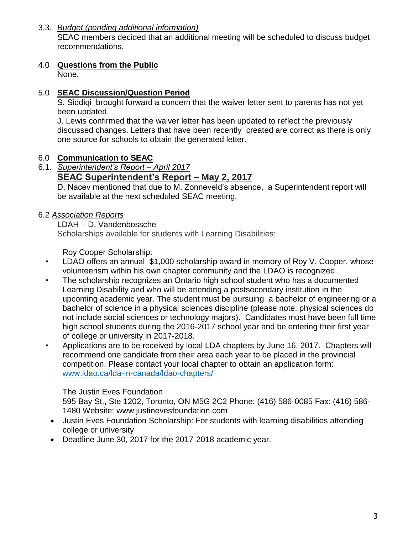# 3.3. *Budget (pending additional information)*

SEAC members decided that an additional meeting will be scheduled to discuss budget recommendations.

# 4.0 **Questions from the Public**

None.

# 5.0 **SEAC Discussion/Question Period**

S. Siddiqi brought forward a concern that the waiver letter sent to parents has not yet been updated.

J. Lewis confirmed that the waiver letter has been updated to reflect the previously discussed changes. Letters that have been recently created are correct as there is only one source for schools to obtain the generated letter.

# 6.0 **Communication to SEAC**

6.1. *Superintendent's Report – April 2017*

# **SEAC Superintendent's Report – May 2, 2017**

D. Nacev mentioned that due to M. Zonneveld's absence, a Superintendent report will be available at the next scheduled SEAC meeting.

# 6.2 *Association Reports*

## LDAH – D. Vandenbossche

Scholarships available for students with Learning Disabilities:

Roy Cooper Scholarship:

- LDAO offers an annual \$1,000 scholarship award in memory of Roy V. Cooper, whose volunteerism within his own chapter community and the LDAO is recognized.
- The scholarship recognizes an Ontario high school student who has a documented Learning Disability and who will be attending a postsecondary institution in the upcoming academic year. The student must be pursuing a bachelor of engineering or a bachelor of science in a physical sciences discipline (please note: physical sciences do not include social sciences or technology majors). Candidates must have been full time high school students during the 2016-2017 school year and be entering their first year of college or university in 2017-2018.
- Applications are to be received by local LDA chapters by June 16, 2017. Chapters will recommend one candidate from their area each year to be placed in the provincial competition. Please contact your local chapter to obtain an application form: [www.ldao.ca/lda-in-canada/ldao-chapters/](http://www.ldao.ca/lda-in-canada/ldao-chapters/)

# The Justin Eves Foundation

595 Bay St., Ste 1202, Toronto, ON M5G 2C2 Phone: (416) 586-0085 Fax: (416) 586- 1480 Website: [www.justinevesfoundation.com](http://www.justinevesfoundation.com/)

- Justin Eves Foundation Scholarship: For students with learning disabilities attending college or university
- Deadline June 30, 2017 for the 2017-2018 academic year.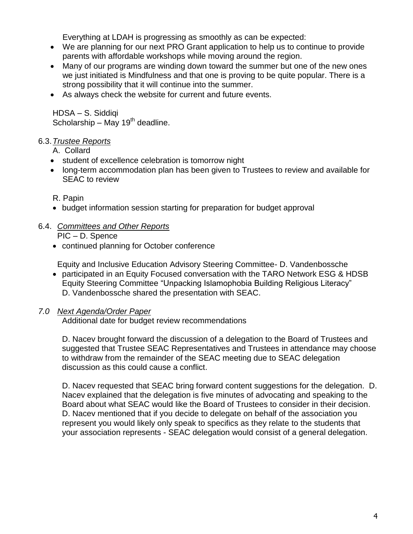Everything at LDAH is progressing as smoothly as can be expected:

- We are planning for our next PRO Grant application to help us to continue to provide parents with affordable workshops while moving around the region.
- Many of our programs are winding down toward the summer but one of the new ones we just initiated is Mindfulness and that one is proving to be quite popular. There is a strong possibility that it will continue into the summer.
- As always check the website for current and future events.

HDSA – S. Siddiqi Scholarship – May 19<sup>th</sup> deadline.

# 6.3.*Trustee Reports*

A. Collard

- student of excellence celebration is tomorrow night
- long-term accommodation plan has been given to Trustees to review and available for SEAC to review

# R. Papin

- budget information session starting for preparation for budget approval
- 6.4. *Committees and Other Reports* PIC – D. Spence
	- continued planning for October conference

Equity and Inclusive Education Advisory Steering Committee- D. Vandenbossche

 participated in an Equity Focused conversation with the TARO Network ESG & HDSB Equity Steering Committee "Unpacking Islamophobia Building Religious Literacy" D. Vandenbossche shared the presentation with SEAC.

# *7.0 Next Agenda/Order Paper*

Additional date for budget review recommendations

D. Nacev brought forward the discussion of a delegation to the Board of Trustees and suggested that Trustee SEAC Representatives and Trustees in attendance may choose to withdraw from the remainder of the SEAC meeting due to SEAC delegation discussion as this could cause a conflict.

D. Nacev requested that SEAC bring forward content suggestions for the delegation. D. Nacev explained that the delegation is five minutes of advocating and speaking to the Board about what SEAC would like the Board of Trustees to consider in their decision. D. Nacev mentioned that if you decide to delegate on behalf of the association you represent you would likely only speak to specifics as they relate to the students that your association represents - SEAC delegation would consist of a general delegation.